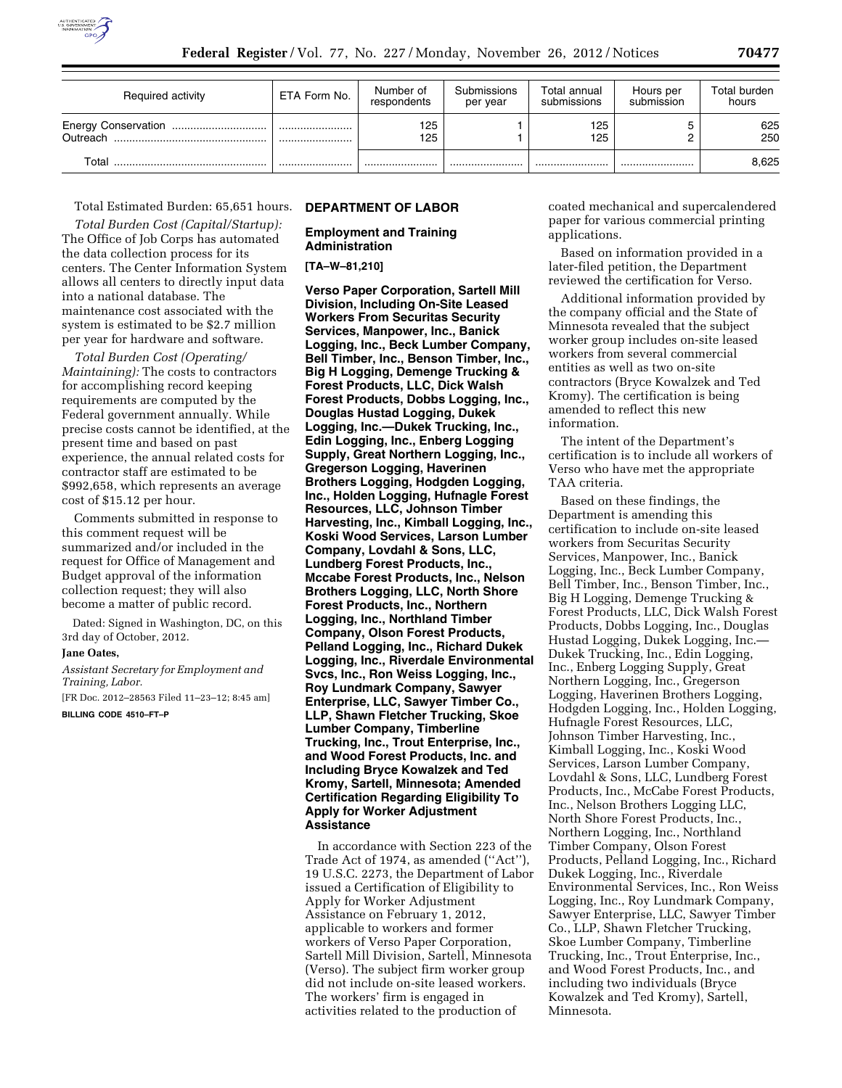

| Required activity | ETA Form No. | Number of<br>respondents | Submissions<br>per year | Total annual<br>submissions | Hours per<br>submission | Total burden<br>hours |
|-------------------|--------------|--------------------------|-------------------------|-----------------------------|-------------------------|-----------------------|
| Outreach          | <br>         | 125<br>125               |                         | 125<br>125                  |                         | 625<br>250            |
| Total             |              |                          |                         |                             |                         | 8,625                 |

Total Estimated Burden: 65,651 hours.

*Total Burden Cost (Capital/Startup):*  The Office of Job Corps has automated the data collection process for its centers. The Center Information System allows all centers to directly input data into a national database. The maintenance cost associated with the system is estimated to be \$2.7 million per year for hardware and software.

*Total Burden Cost (Operating/ Maintaining):* The costs to contractors for accomplishing record keeping requirements are computed by the Federal government annually. While precise costs cannot be identified, at the present time and based on past experience, the annual related costs for contractor staff are estimated to be \$992,658, which represents an average cost of \$15.12 per hour.

Comments submitted in response to this comment request will be summarized and/or included in the request for Office of Management and Budget approval of the information collection request; they will also become a matter of public record.

Dated: Signed in Washington, DC, on this 3rd day of October, 2012.

### **Jane Oates,**

*Assistant Secretary for Employment and Training, Labor.* 

[FR Doc. 2012–28563 Filed 11–23–12; 8:45 am] **BILLING CODE 4510–FT–P** 

# **DEPARTMENT OF LABOR**

**Employment and Training Administration** 

# **[TA–W–81,210]**

**Verso Paper Corporation, Sartell Mill Division, Including On-Site Leased Workers From Securitas Security Services, Manpower, Inc., Banick Logging, Inc., Beck Lumber Company, Bell Timber, Inc., Benson Timber, Inc., Big H Logging, Demenge Trucking & Forest Products, LLC, Dick Walsh Forest Products, Dobbs Logging, Inc., Douglas Hustad Logging, Dukek Logging, Inc.—Dukek Trucking, Inc., Edin Logging, Inc., Enberg Logging Supply, Great Northern Logging, Inc., Gregerson Logging, Haverinen Brothers Logging, Hodgden Logging, Inc., Holden Logging, Hufnagle Forest Resources, LLC, Johnson Timber Harvesting, Inc., Kimball Logging, Inc., Koski Wood Services, Larson Lumber Company, Lovdahl & Sons, LLC, Lundberg Forest Products, Inc., Mccabe Forest Products, Inc., Nelson Brothers Logging, LLC, North Shore Forest Products, Inc., Northern Logging, Inc., Northland Timber Company, Olson Forest Products, Pelland Logging, Inc., Richard Dukek Logging, Inc., Riverdale Environmental Svcs, Inc., Ron Weiss Logging, Inc., Roy Lundmark Company, Sawyer Enterprise, LLC, Sawyer Timber Co., LLP, Shawn Fletcher Trucking, Skoe Lumber Company, Timberline Trucking, Inc., Trout Enterprise, Inc., and Wood Forest Products, Inc. and Including Bryce Kowalzek and Ted Kromy, Sartell, Minnesota; Amended Certification Regarding Eligibility To Apply for Worker Adjustment Assistance** 

In accordance with Section 223 of the Trade Act of 1974, as amended (''Act''), 19 U.S.C. 2273, the Department of Labor issued a Certification of Eligibility to Apply for Worker Adjustment Assistance on February 1, 2012, applicable to workers and former workers of Verso Paper Corporation, Sartell Mill Division, Sartell, Minnesota (Verso). The subject firm worker group did not include on-site leased workers. The workers' firm is engaged in activities related to the production of

coated mechanical and supercalendered paper for various commercial printing applications.

Based on information provided in a later-filed petition, the Department reviewed the certification for Verso.

Additional information provided by the company official and the State of Minnesota revealed that the subject worker group includes on-site leased workers from several commercial entities as well as two on-site contractors (Bryce Kowalzek and Ted Kromy). The certification is being amended to reflect this new information.

The intent of the Department's certification is to include all workers of Verso who have met the appropriate TAA criteria.

Based on these findings, the Department is amending this certification to include on-site leased workers from Securitas Security Services, Manpower, Inc., Banick Logging, Inc., Beck Lumber Company, Bell Timber, Inc., Benson Timber, Inc., Big H Logging, Demenge Trucking & Forest Products, LLC, Dick Walsh Forest Products, Dobbs Logging, Inc., Douglas Hustad Logging, Dukek Logging, Inc.— Dukek Trucking, Inc., Edin Logging, Inc., Enberg Logging Supply, Great Northern Logging, Inc., Gregerson Logging, Haverinen Brothers Logging, Hodgden Logging, Inc., Holden Logging, Hufnagle Forest Resources, LLC, Johnson Timber Harvesting, Inc., Kimball Logging, Inc., Koski Wood Services, Larson Lumber Company, Lovdahl & Sons, LLC, Lundberg Forest Products, Inc., McCabe Forest Products, Inc., Nelson Brothers Logging LLC, North Shore Forest Products, Inc., Northern Logging, Inc., Northland Timber Company, Olson Forest Products, Pelland Logging, Inc., Richard Dukek Logging, Inc., Riverdale Environmental Services, Inc., Ron Weiss Logging, Inc., Roy Lundmark Company, Sawyer Enterprise, LLC, Sawyer Timber Co., LLP, Shawn Fletcher Trucking, Skoe Lumber Company, Timberline Trucking, Inc., Trout Enterprise, Inc., and Wood Forest Products, Inc., and including two individuals (Bryce Kowalzek and Ted Kromy), Sartell, Minnesota.